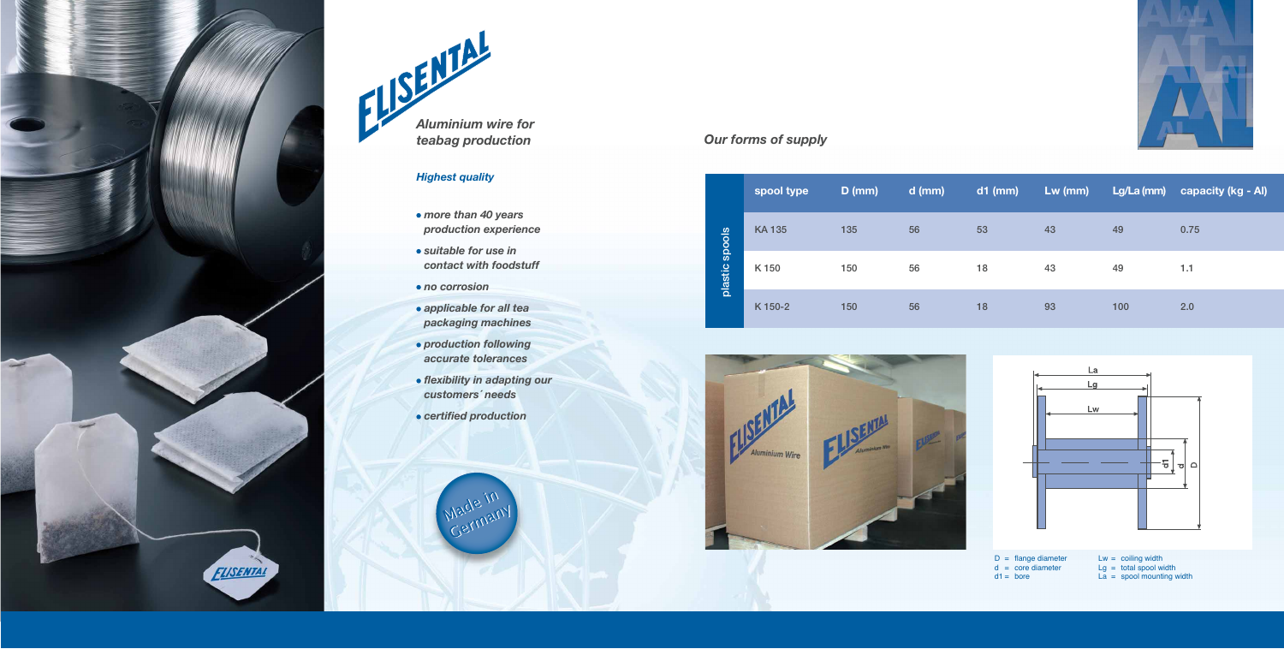## *Highest quality*

- *more than 40 years production experience*
- *suitable for use in contact with foodstuff*
- *no corrosion*
- *applicable for all tea packaging machines*
- *production following accurate tolerances*
- *flexibility in adapting our customers´ needs*
- *certified production*

Germany





|                   | spool type   | $D$ (mm) | $d$ (mm) | $d1$ (mm) | $Lw$ (mm) | Lg/La (mm) | capacity (kg - Al) |
|-------------------|--------------|----------|----------|-----------|-----------|------------|--------------------|
| spools<br>plastic | <b>KA135</b> | 135      | 56       | 53        | 43        | 49         | 0.75               |
|                   | K150         | 150      | 56       | 18        | 43        | 49         | 1.1                |
|                   | K 150-2      | 150      | 56       | 18        | 93        | 100        | 2.0                |





## *Our forms of supply*